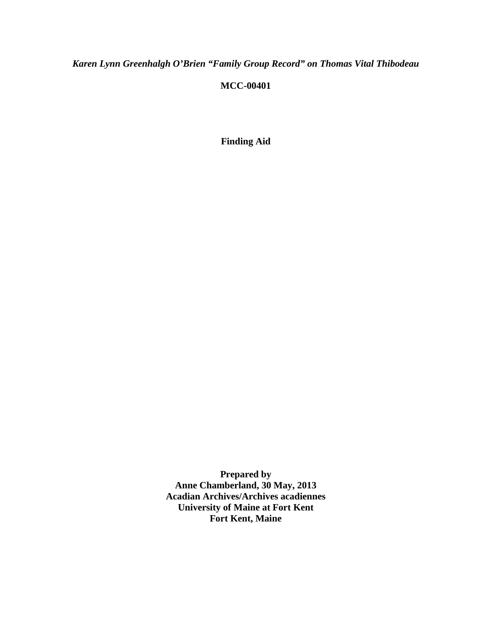*Karen Lynn Greenhalgh O'Brien "Family Group Record" on Thomas Vital Thibodeau*

## **MCC-00401**

**Finding Aid**

**Prepared by Anne Chamberland, 30 May, 2013 Acadian Archives/Archives acadiennes University of Maine at Fort Kent Fort Kent, Maine**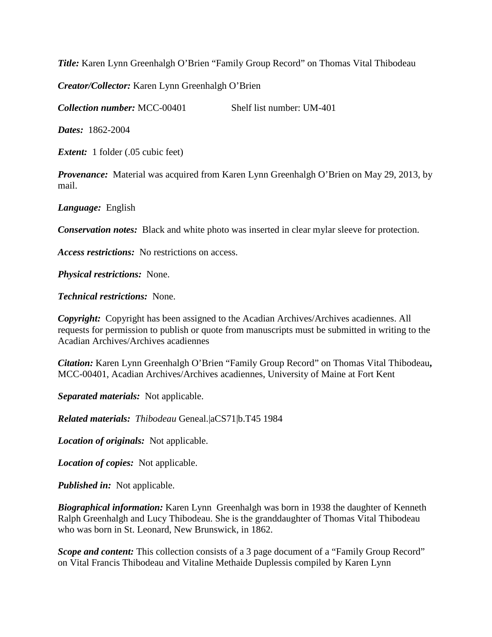*Title:* Karen Lynn Greenhalgh O'Brien "Family Group Record" on Thomas Vital Thibodeau

*Creator/Collector:* Karen Lynn Greenhalgh O'Brien

*Collection number:* MCC-00401 Shelf list number: UM-401

*Dates:* 1862-2004

*Extent:* 1 folder (.05 cubic feet)

*Provenance:* Material was acquired from Karen Lynn Greenhalgh O'Brien on May 29, 2013, by mail.

*Language:* English

*Conservation notes:* Black and white photo was inserted in clear mylar sleeve for protection.

*Access restrictions:* No restrictions on access.

*Physical restrictions:* None.

*Technical restrictions:* None.

*Copyright:* Copyright has been assigned to the Acadian Archives/Archives acadiennes. All requests for permission to publish or quote from manuscripts must be submitted in writing to the Acadian Archives/Archives acadiennes

*Citation:* Karen Lynn Greenhalgh O'Brien "Family Group Record" on Thomas Vital Thibodeau**,**  MCC-00401, Acadian Archives/Archives acadiennes, University of Maine at Fort Kent

*Separated materials:* Not applicable.

*Related materials: Thibodeau* Geneal.|aCS71|b.T45 1984

*Location of originals:* Not applicable.

*Location of copies:* Not applicable.

*Published in:* Not applicable.

*Biographical information:* Karen Lynn Greenhalgh was born in 1938 the daughter of Kenneth Ralph Greenhalgh and Lucy Thibodeau. She is the granddaughter of Thomas Vital Thibodeau who was born in St. Leonard, New Brunswick, in 1862.

*Scope and content:* This collection consists of a 3 page document of a "Family Group Record" on Vital Francis Thibodeau and Vitaline Methaide Duplessis compiled by Karen Lynn